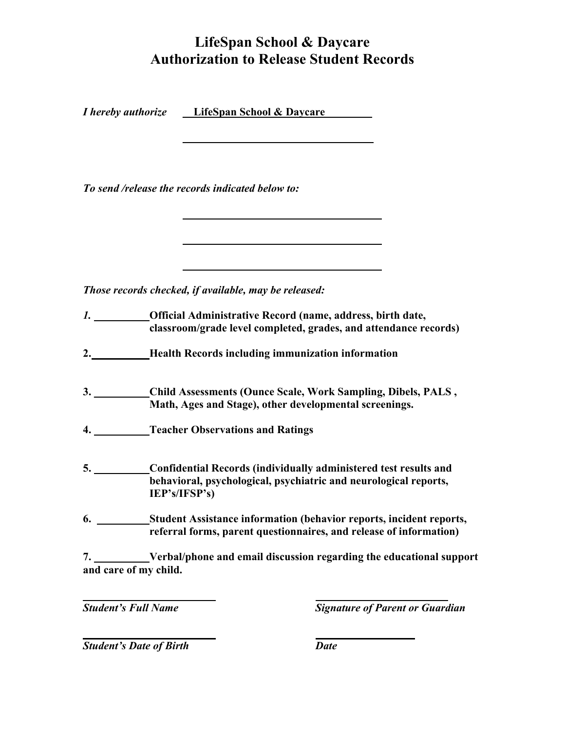## **LifeSpan School & Daycare Authorization to Release Student Records**

*<i>I* **hereby authorize LifeSpan School & Daycare** 

 **\_\_\_\_\_\_\_\_\_\_\_\_\_\_\_\_\_\_\_ \_\_\_\_\_\_\_\_\_\_\_\_\_\_\_** 

*To send /release the records indicated below to:* 

*Those records checked, if available, may be released:* 

- *1.* **Official Administrative Record (name, address, birth date, classroom/grade level completed, grades, and attendance records)**
- **2. \_ Health Records including immunization information**
- **3. \_\_\_\_ Child Assessments (Ounce Scale, Work Sampling, Dibels, PALS , Math, Ages and Stage), other developmental screenings.**
- **4. Teacher Observations and Ratings**
- **5. Confidential Records (individually administered test results and behavioral, psychological, psychiatric and neurological reports, IEP's/IFSP's)**
- **6. Student Assistance information (behavior reports, incident reports, referral forms, parent questionnaires, and release of information)**

**7.** \_\_\_\_\_\_**Verbal/phone and email discussion regarding the educational support and care of my child.** 

*Student's Full Name* The Structure of Parent or Guardian **Structure of Parent or Guardian** 

 **Student's Date of Birth Date Contains Property Associates**